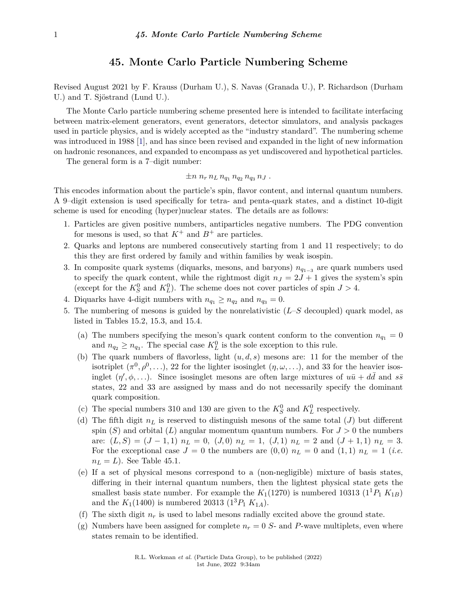## **45. Monte Carlo Particle Numbering Scheme**

Revised August 2021 by F. Krauss (Durham U.), S. Navas (Granada U.), P. Richardson (Durham U.) and T. Sjöstrand (Lund U.).

The Monte Carlo particle numbering scheme presented here is intended to facilitate interfacing between matrix-element generators, event generators, detector simulators, and analysis packages used in particle physics, and is widely accepted as the "industry standard". The numbering scheme was introduced in 1988 [\[1\]](#page-6-0), and has since been revised and expanded in the light of new information on hadronic resonances, and expanded to encompass as yet undiscovered and hypothetical particles.

The general form is a 7–digit number:

$$
\pm n\; n_r\, n_L\, n_{q_1}\, n_{q_2}\, n_{q_3}\, n_J\;.
$$

This encodes information about the particle's spin, flavor content, and internal quantum numbers. A 9–digit extension is used specifically for tetra- and penta-quark states, and a distinct 10-digit scheme is used for encoding (hyper)nuclear states. The details are as follows:

- 1. Particles are given positive numbers, antiparticles negative numbers. The PDG convention for mesons is used, so that  $K^+$  and  $B^+$  are particles.
- 2. Quarks and leptons are numbered consecutively starting from 1 and 11 respectively; to do this they are first ordered by family and within families by weak isospin.
- 3. In composite quark systems (diquarks, mesons, and baryons) *nq*1−<sup>3</sup> are quark numbers used to specify the quark content, while the rightmost digit  $n<sub>J</sub> = 2J + 1$  gives the system's spin (except for the  $K_S^0$  and  $K_L^0$ ). The scheme does not cover particles of spin  $J > 4$ .
- 4. Diquarks have 4-digit numbers with  $n_{q_1} \ge n_{q_2}$  and  $n_{q_3} = 0$ .
- 5. The numbering of mesons is guided by the nonrelativistic (*L*–*S* decoupled) quark model, as listed in Tables 15.2, 15.3, and 15.4.
	- (a) The numbers specifying the meson's quark content conform to the convention  $n_{q_1} = 0$ and  $n_{q_2} \ge n_{q_3}$ . The special case  $K^0_L$  is the sole exception to this rule.
	- (b) The quark numbers of flavorless, light  $(u, d, s)$  mesons are: 11 for the member of the isotriplet  $(\pi^0, \rho^0, \ldots)$ , 22 for the lighter isosinglet  $(\eta, \omega, \ldots)$ , and 33 for the heavier isosinglet  $(\eta', \phi, \ldots)$ . Since isosinglet mesons are often large mixtures of  $u\bar{u} + d\bar{d}$  and  $s\bar{s}$ states, 22 and 33 are assigned by mass and do not necessarily specify the dominant quark composition.
	- (c) The special numbers 310 and 130 are given to the  $K_S^0$  and  $K_L^0$  respectively.
	- (d) The fifth digit  $n<sub>L</sub>$  is reserved to distinguish mesons of the same total (*J*) but different spin  $(S)$  and orbital  $(L)$  angular momentum quantum numbers. For  $J > 0$  the numbers are:  $(L, S) = (J - 1, 1)$   $n_L = 0$ ,  $(J, 0)$   $n_L = 1$ ,  $(J, 1)$   $n_L = 2$  and  $(J + 1, 1)$   $n_L = 3$ . For the exceptional case  $J = 0$  the numbers are  $(0,0)$   $n_L = 0$  and  $(1,1)$   $n_L = 1$  (*i.e.*  $n_L = L$ ). See Table 45.1.
	- (e) If a set of physical mesons correspond to a (non-negligible) mixture of basis states, differing in their internal quantum numbers, then the lightest physical state gets the smallest basis state number. For example the  $K_1(1270)$  is numbered 10313  $(1^1P_1 K_{1B})$ and the  $K_1(1400)$  is numbered 20313  $(1^3P_1 K_{1A})$ .
	- (f) The sixth digit  $n_r$  is used to label mesons radially excited above the ground state.
	- (g) Numbers have been assigned for complete  $n_r = 0$  S- and P-wave multiplets, even where states remain to be identified.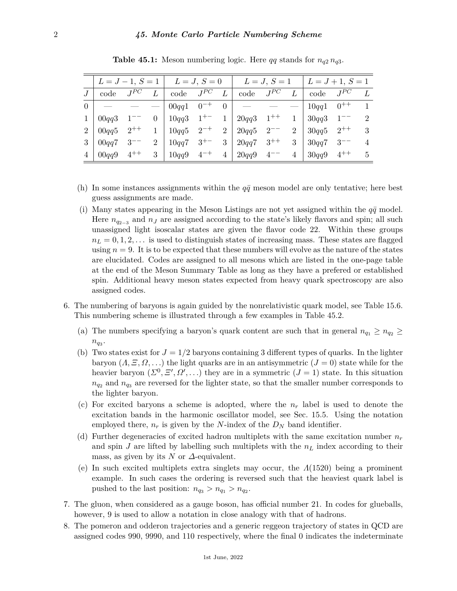|                |                              |          |                                    |  |                | $L = J - 1, S = 1$   $L = J, S = 0$   $L = J, S = 1$   $L = J + 1, S = 1$ |                                                                                                                                                                                                                                                                                                                                                                                                                                                                            |                 |                         |  |                     |
|----------------|------------------------------|----------|------------------------------------|--|----------------|---------------------------------------------------------------------------|----------------------------------------------------------------------------------------------------------------------------------------------------------------------------------------------------------------------------------------------------------------------------------------------------------------------------------------------------------------------------------------------------------------------------------------------------------------------------|-----------------|-------------------------|--|---------------------|
|                | code                         | $J^{PC}$ | $L \mid \text{code} \quad J^{PC}$  |  | L              | code $J^{PC}$                                                             |                                                                                                                                                                                                                                                                                                                                                                                                                                                                            |                 | code $J^{PC}$           |  |                     |
| 0 <sup>1</sup> |                              |          | $00qq1 \quad 0^{-+}$               |  | 0 <sup>1</sup> |                                                                           | $\frac{1}{2} \left( \frac{1}{2} \right) \left( \frac{1}{2} \right) \left( \frac{1}{2} \right) \left( \frac{1}{2} \right) \left( \frac{1}{2} \right) \left( \frac{1}{2} \right) \left( \frac{1}{2} \right) \left( \frac{1}{2} \right) \left( \frac{1}{2} \right) \left( \frac{1}{2} \right) \left( \frac{1}{2} \right) \left( \frac{1}{2} \right) \left( \frac{1}{2} \right) \left( \frac{1}{2} \right) \left( \frac{1}{2} \right) \left( \frac{1}{2} \right) \left( \frac$ |                 | $10qq1 \quad 0^{++}$    |  |                     |
| $\mathbf{1}$   | $00qq3 \quad 1^{--}$         |          | $0   10qq3 \quad 1^{+-} \quad 1  $ |  |                | $120qq3$ $1^{++}$                                                         |                                                                                                                                                                                                                                                                                                                                                                                                                                                                            | $\overline{1}$  | $30qq3 \quad 1^{--}$    |  | $\mathcal{D}$       |
| $2^{\circ}$    |                              |          |                                    |  |                | $0.00qq5$ $2^{++}$ 1   $10qq5$ $2^{-+}$ 2   $20qq5$ $2^{--}$              |                                                                                                                                                                                                                                                                                                                                                                                                                                                                            | $2-1$           | $30qq5$ 2 <sup>++</sup> |  | 3                   |
| 3 <sup>1</sup> | $00qq7 \quad 3^{--}$         |          | 2   $10qq7 \quad 3^{+-}$           |  | 3 <sup>1</sup> | $20qq7 \quad 3^{++}$                                                      |                                                                                                                                                                                                                                                                                                                                                                                                                                                                            | 3 <sup>1</sup>  | $30qq7 \quad 3^{--}$    |  | $\overline{4}$      |
|                | $00qq9 \quad 4^{++} \quad 3$ |          | $10qq9 \quad 4^{-+} \quad 4$       |  |                | $20qq9 \quad 4^{--}$                                                      |                                                                                                                                                                                                                                                                                                                                                                                                                                                                            | $4\overline{ }$ | $30qq9 \quad 4^{++}$    |  | $5\phantom{.00000}$ |

**Table 45.1:** Meson numbering logic. Here *qq* stands for  $n_{q2} n_{q3}$ .

- (h) In some instances assignments within the  $q\bar{q}$  meson model are only tentative; here best guess assignments are made.
- (i) Many states appearing in the Meson Listings are not yet assigned within the  $q\bar{q}$  model. Here  $n_{q_{2-3}}$  and  $n_j$  are assigned according to the state's likely flavors and spin; all such unassigned light isoscalar states are given the flavor code 22. Within these groups  $n_L = 0, 1, 2, \ldots$  is used to distinguish states of increasing mass. These states are flagged using  $n = 9$ . It is to be expected that these numbers will evolve as the nature of the states are elucidated. Codes are assigned to all mesons which are listed in the one-page table at the end of the Meson Summary Table as long as they have a prefered or established spin. Additional heavy meson states expected from heavy quark spectroscopy are also assigned codes.
- 6. The numbering of baryons is again guided by the nonrelativistic quark model, see Table 15.6. This numbering scheme is illustrated through a few examples in Table 45.2.
	- (a) The numbers specifying a baryon's quark content are such that in general  $n_{q_1} \geq n_{q_2} \geq$  $n_{q_3}$ .
	- (b) Two states exist for  $J = 1/2$  baryons containing 3 different types of quarks. In the lighter baryon  $(\Lambda, \Xi, \Omega, \ldots)$  the light quarks are in an antisymmetric  $(J = 0)$  state while for the heavier baryon  $(\Sigma^0, \Xi', \Omega', \ldots)$  they are in a symmetric  $(J = 1)$  state. In this situation  $n_{q_2}$  and  $n_{q_3}$  are reversed for the lighter state, so that the smaller number corresponds to the lighter baryon.
	- (c) For excited baryons a scheme is adopted, where the *n<sup>r</sup>* label is used to denote the excitation bands in the harmonic oscillator model, see Sec. 15.5. Using the notation employed there,  $n_r$  is given by the *N*-index of the  $D_N$  band identifier.
	- (d) Further degeneracies of excited hadron multiplets with the same excitation number *n<sup>r</sup>* and spin *J* are lifted by labelling such multiplets with the *n<sup>L</sup>* index according to their mass, as given by its *N* or *∆*-equivalent.
	- (e) In such excited multiplets extra singlets may occur, the *Λ*(1520) being a prominent example. In such cases the ordering is reversed such that the heaviest quark label is pushed to the last position:  $n_{q_3} > n_{q_1} > n_{q_2}$ .
- 7. The gluon, when considered as a gauge boson, has official number 21. In codes for glueballs, however, 9 is used to allow a notation in close analogy with that of hadrons.
- 8. The pomeron and odderon trajectories and a generic reggeon trajectory of states in QCD are assigned codes 990, 9990, and 110 respectively, where the final 0 indicates the indeterminate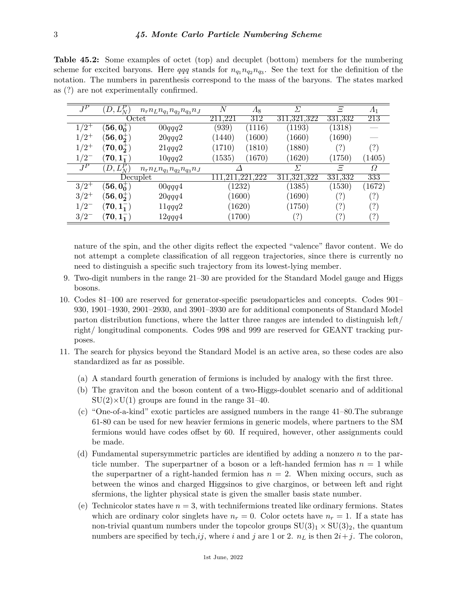**Table 45.2:** Some examples of octet (top) and decuplet (bottom) members for the numbering scheme for excited baryons. Here  $qqq$  stands for  $n_{q_1}n_{q_2}n_{q_3}$ . See the text for the definition of the notation. The numbers in parenthesis correspond to the mass of the baryons. The states marked as (?) are not experimentally confirmed.

| $\overline{J^P}$ | $D, L_N^P$                     | $n_r n_L n_{q_1} n_{q_2} n_{q_3} n_J$ | N                   | $\varLambda_{8}$    | $\Sigma$            | F                                  | $\varLambda_1$ |
|------------------|--------------------------------|---------------------------------------|---------------------|---------------------|---------------------|------------------------------------|----------------|
|                  |                                | Octet                                 | .221<br>211         | 312                 | 311,321,322         | 331,332                            | 213            |
| $1/2^{+}$        | $[56, 00^+]$                   | 00qqq2                                | (939)               | (1116)              | (1193)              | (1318)                             |                |
| $/2^+$           | $\ket{56,0^{+}_2}$             | 20qqq2                                | (1440)              | (1600)              | (1660)              | (1690)                             |                |
| $1/2^+$          | $\langle 70, 0_2^+ \rangle$    | 21qqq2                                | $\left(1710\right)$ | (1810)              | (1880)              | ( ? )                              | (?)            |
| $1/2^{-}$        | $70, 1^{-}$                    | 10qqq2                                | $\left(1535\right)$ | $\left(1670\right)$ | $\left(1620\right)$ | (1750)                             | (1405)         |
| $\bar{J}^P$      | $\overline{D},L_N^F$           | $n_r n_L n_{q_1} n_{q_2} n_{q_3} n_J$ |                     |                     | Л                   | Ξ                                  | Ω              |
|                  |                                | Decuplet                              |                     | .222                | 311, 321, 322       | 331,332                            | 333            |
| $3/2^+$          | $(56, 0^{+}_{0})$              | 00qqq4                                | 1232)               |                     | (1385)              | (1530)                             | (1672)         |
| $3/2^+$          | $(\mathbf{56},\mathbf{0_2^+})$ | 20qqq4                                | $\left(1600\right)$ |                     | (1690)              | (?)                                | (?)            |
| 1/2              | $({\bf 70}, {\bf 1^{-}_1})$    | 11qqq2                                | (1620)              |                     | (1750)              | ( ? )                              | (?)            |
| $3/2^{-}$        | $(70, 1^{-1})$                 | 12qqq4                                | 1700)               |                     |                     | $\left\langle \cdot \right\rangle$ | (?)            |

nature of the spin, and the other digits reflect the expected "valence" flavor content. We do not attempt a complete classification of all reggeon trajectories, since there is currently no need to distinguish a specific such trajectory from its lowest-lying member.

- 9. Two-digit numbers in the range 21–30 are provided for the Standard Model gauge and Higgs bosons.
- 10. Codes 81–100 are reserved for generator-specific pseudoparticles and concepts. Codes 901– 930, 1901–1930, 2901–2930, and 3901–3930 are for additional components of Standard Model parton distribution functions, where the latter three ranges are intended to distinguish left/ right/ longitudinal components. Codes 998 and 999 are reserved for GEANT tracking purposes.
- 11. The search for physics beyond the Standard Model is an active area, so these codes are also standardized as far as possible.
	- (a) A standard fourth generation of fermions is included by analogy with the first three.
	- (b) The graviton and the boson content of a two-Higgs-doublet scenario and of additional  $SU(2)\times U(1)$  groups are found in the range 31–40.
	- (c) "One-of-a-kind" exotic particles are assigned numbers in the range 41–80.The subrange 61-80 can be used for new heavier fermions in generic models, where partners to the SM fermions would have codes offset by 60. If required, however, other assignments could be made.
	- (d) Fundamental supersymmetric particles are identified by adding a nonzero *n* to the particle number. The superpartner of a boson or a left-handed fermion has  $n = 1$  while the superpartner of a right-handed fermion has  $n = 2$ . When mixing occurs, such as between the winos and charged Higgsinos to give charginos, or between left and right sfermions, the lighter physical state is given the smaller basis state number.
	- (e) Technicolor states have  $n = 3$ , with technifermions treated like ordinary fermions. States which are ordinary color singlets have  $n_r = 0$ . Color octets have  $n_r = 1$ . If a state has non-trivial quantum numbers under the topcolor groups  $SU(3)_1 \times SU(3)_2$ , the quantum numbers are specified by tech,*ij*, where *i* and *j* are 1 or 2.  $n<sub>L</sub>$  is then  $2i+j$ . The coloron,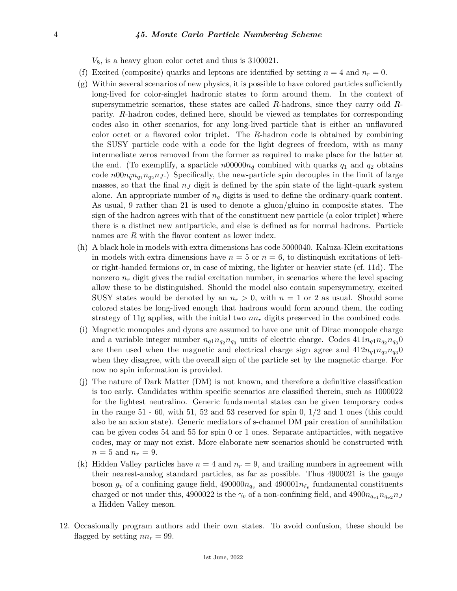## 4 *45. Monte Carlo Particle Numbering Scheme*

*V*8, is a heavy gluon color octet and thus is 3100021.

- (f) Excited (composite) quarks and leptons are identified by setting  $n = 4$  and  $n_r = 0$ .
- $(g)$  Within several scenarios of new physics, it is possible to have colored particles sufficiently long-lived for color-singlet hadronic states to form around them. In the context of supersymmetric scenarios, these states are called *R*-hadrons, since they carry odd *R*parity. *R*-hadron codes, defined here, should be viewed as templates for corresponding codes also in other scenarios, for any long-lived particle that is either an unflavored color octet or a flavored color triplet. The *R*-hadron code is obtained by combining the SUSY particle code with a code for the light degrees of freedom, with as many intermediate zeros removed from the former as required to make place for the latter at the end. (To exemplify, a sparticle  $n00000n_{\tilde{q}}$  combined with quarks  $q_1$  and  $q_2$  obtains code  $n00n_{\tilde{q}}n_{q_1}n_{q_2}n_J$ .) Specifically, the new-particle spin decouples in the limit of large masses, so that the final  $n<sub>J</sub>$  digit is defined by the spin state of the light-quark system alone. An appropriate number of *n<sup>q</sup>* digits is used to define the ordinary-quark content. As usual, 9 rather than 21 is used to denote a gluon/gluino in composite states. The sign of the hadron agrees with that of the constituent new particle (a color triplet) where there is a distinct new antiparticle, and else is defined as for normal hadrons. Particle names are *R* with the flavor content as lower index.
- (h) A black hole in models with extra dimensions has code 5000040. Kaluza-Klein excitations in models with extra dimensions have  $n = 5$  or  $n = 6$ , to distinguish excitations of leftor right-handed fermions or, in case of mixing, the lighter or heavier state (cf. 11d). The nonzero  $n_r$  digit gives the radial excitation number, in scenarios where the level spacing allow these to be distinguished. Should the model also contain supersymmetry, excited SUSY states would be denoted by an  $n_r > 0$ , with  $n = 1$  or 2 as usual. Should some colored states be long-lived enough that hadrons would form around them, the coding strategy of 11g applies, with the initial two *nn<sup>r</sup>* digits preserved in the combined code.
- (i) Magnetic monopoles and dyons are assumed to have one unit of Dirac monopole charge and a variable integer number  $n_{q1}n_{q2}n_{q3}$  units of electric charge. Codes  $411n_{q1}n_{q2}n_{q3}0$ are then used when the magnetic and electrical charge sign agree and  $412n_{q1}n_{q2}n_{q3}0$ when they disagree, with the overall sign of the particle set by the magnetic charge. For now no spin information is provided.
- (j) The nature of Dark Matter (DM) is not known, and therefore a definitive classification is too early. Candidates within specific scenarios are classified therein, such as 1000022 for the lightest neutralino. Generic fundamental states can be given temporary codes in the range  $51 - 60$ , with  $51$ ,  $52$  and  $53$  reserved for spin 0,  $1/2$  and 1 ones (this could also be an axion state). Generic mediators of s-channel DM pair creation of annihilation can be given codes 54 and 55 for spin 0 or 1 ones. Separate antiparticles, with negative codes, may or may not exist. More elaborate new scenarios should be constructed with  $n = 5$  and  $n_r = 9$ .
- (k) Hidden Valley particles have  $n = 4$  and  $n_r = 9$ , and trailing numbers in agreement with their nearest-analog standard particles, as far as possible. Thus 4900021 is the gauge boson  $g_v$  of a confining gauge field,  $490000n_{q_v}$  and  $490001n_{\ell_v}$  fundamental constituents charged or not under this, 4900022 is the  $\gamma_v$  of a non-confining field, and 4900 $n_{q_{v1}}n_{q_{v2}}n_J$ a Hidden Valley meson.
- 12. Occasionally program authors add their own states. To avoid confusion, these should be flagged by setting  $nn_r = 99$ .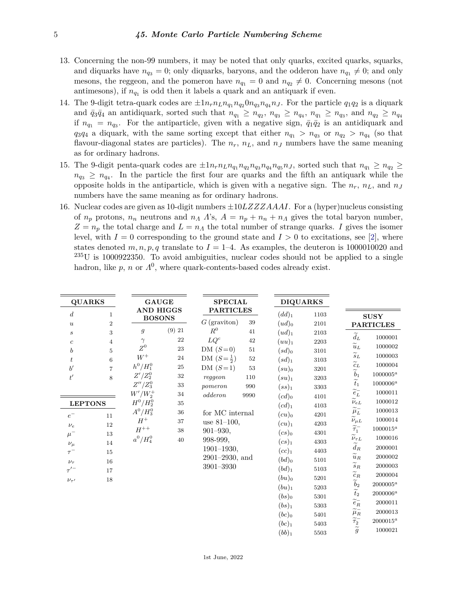- 13. Concerning the non-99 numbers, it may be noted that only quarks, excited quarks, squarks, and diquarks have  $n_{q_3} = 0$ ; only diquarks, baryons, and the odderon have  $n_{q_1} \neq 0$ ; and only mesons, the reggeon, and the pomeron have  $n_{q_1} = 0$  and  $n_{q_2} \neq 0$ . Concerning mesons (not antimesons), if  $n_{q_1}$  is odd then it labels a quark and an antiquark if even.
- 14. The 9-digit tetra-quark codes are  $\pm 1n_r n_L n_{q_1} n_{q_2} 0 n_{q_3} n_{q_4} n_J$ . For the particle  $q_1 q_2$  is a diquark and  $\bar{q}_3\bar{q}_4$  an antidiquark, sorted such that  $n_{q_1} \geq n_{q_2}$ ,  $n_{q_3} \geq n_{q_4}$ ,  $n_{q_1} \geq n_{q_3}$ , and  $n_{q_2} \geq n_{q_4}$ if  $n_{q_1} = n_{q_3}$ . For the antiparticle, given with a negative sign,  $\bar{q}_1 \bar{q}_2$  is an antidiquark and  $q_3q_4$  a diquark, with the same sorting except that either  $n_{q_1} > n_{q_3}$  or  $n_{q_2} > n_{q_4}$  (so that flavour-diagonal states are particles). The  $n_r$ ,  $n_L$ , and  $n_J$  numbers have the same meaning as for ordinary hadrons.
- 15. The 9-digit penta-quark codes are  $\pm 1n_r n_L n_{q_1} n_{q_2} n_{q_3} n_{q_4} n_{q_5} n_{J}$ , sorted such that  $n_{q_1} \geq n_{q_2} \geq$  $n_{q_3} \geq n_{q_4}$ . In the particle the first four are quarks and the fifth an antiquark while the opposite holds in the antiparticle, which is given with a negative sign. The  $n_r$ ,  $n_L$ , and  $n_J$ numbers have the same meaning as for ordinary hadrons.
- 16. Nuclear codes are given as 10-digit numbers ±10*LZZZAAAI*. For a (hyper)nucleus consisting of  $n_p$  protons,  $n_n$  neutrons and  $n_A \Delta$ 's,  $A = n_p + n_a + n_A$  gives the total baryon number,  $Z = n_p$  the total charge and  $L = n_A$  the total number of strange quarks. *I* gives the isomer level, with  $I = 0$  corresponding to the ground state and  $I > 0$  to excitations, see [\[2\]](#page-6-1), where states denoted  $m, n, p, q$  translate to  $I = 1-4$ . As examples, the deuteron is 1000010020 and  $^{235}$ U is 1000922350. To avoid ambiguities, nuclear codes should not be applied to a single hadron, like  $p$ ,  $n$  or  $\Lambda^0$ , where quark-contents-based codes already exist.

| <b>QUARKS</b>                                                                                                                                                                                                                                                                                                                                      |                                                                                                                                                                                       | <b>GAUGE</b><br><b>AND HIGGS</b>                                                                      |                                                                                                                                                                                                                        | <b>SPECIAL</b><br><b>PARTICLES</b>             |                                                                                                                                                                                                                                                                             | <b>DIQUARKS</b>                                                                                                                                              |                                                                                                                                                                                                                                                                                                                                                                                                                                                                                                           |                                                                                                                                                                                                                                              |
|----------------------------------------------------------------------------------------------------------------------------------------------------------------------------------------------------------------------------------------------------------------------------------------------------------------------------------------------------|---------------------------------------------------------------------------------------------------------------------------------------------------------------------------------------|-------------------------------------------------------------------------------------------------------|------------------------------------------------------------------------------------------------------------------------------------------------------------------------------------------------------------------------|------------------------------------------------|-----------------------------------------------------------------------------------------------------------------------------------------------------------------------------------------------------------------------------------------------------------------------------|--------------------------------------------------------------------------------------------------------------------------------------------------------------|-----------------------------------------------------------------------------------------------------------------------------------------------------------------------------------------------------------------------------------------------------------------------------------------------------------------------------------------------------------------------------------------------------------------------------------------------------------------------------------------------------------|----------------------------------------------------------------------------------------------------------------------------------------------------------------------------------------------------------------------------------------------|
| $\boldsymbol{d}$<br>$\mathbf{1}$                                                                                                                                                                                                                                                                                                                   | <b>BOSONS</b>                                                                                                                                                                         |                                                                                                       | $G$ (graviton)                                                                                                                                                                                                         | 39                                             | $(dd)_1$                                                                                                                                                                                                                                                                    | 1103                                                                                                                                                         |                                                                                                                                                                                                                                                                                                                                                                                                                                                                                                           | <b>SUSY</b>                                                                                                                                                                                                                                  |
| $\boldsymbol{2}$<br>$\boldsymbol{u}$<br>$\,3$<br>$\boldsymbol{s}$                                                                                                                                                                                                                                                                                  | $\mathfrak g$                                                                                                                                                                         | (9) 21                                                                                                | $\ensuremath{R^0}\xspace$                                                                                                                                                                                              | 41                                             | $(ud)_0$<br>$(ud)_1$                                                                                                                                                                                                                                                        | 2101<br>2103                                                                                                                                                 |                                                                                                                                                                                                                                                                                                                                                                                                                                                                                                           | <b>PARTICLES</b>                                                                                                                                                                                                                             |
| $\overline{4}$<br>$\boldsymbol{c}$<br>$\overline{5}$<br>$\boldsymbol{b}$<br>$\,6$<br>$\boldsymbol{t}$<br>$b^{\prime}$<br>$\overline{7}$<br>$t^\prime$<br>$\,8\,$<br><b>LEPTONS</b><br>$e^-$<br>11<br>12<br>$\nu_e$<br>$\mu^-$<br>13<br>14<br>$\nu_\mu$<br>15<br>$\tau^{-}$<br>16<br>$\nu_{\tau}$<br>$\tau^{\prime -}$<br>17<br>18<br>$\nu_{\tau'}$ | $\gamma$<br>$\mathbb{Z}^0$<br>${\cal W}^+$<br>$h^0/H_1^0$<br>$Z'/Z_2^0$<br>$Z^{\prime\prime}/Z_3^0$<br>$W'/W_2^+$<br>$H^0/H_2^0$<br>$A^0/H_3^0$<br>$H^+$<br>$H^{++}\,$<br>$a^0/H_4^0$ | $\bf{22}$<br>$\bf 23$<br>24<br>$25\,$<br>$32\,$<br>$33\,$<br>$34\,$<br>$35\,$<br>36<br>37<br>38<br>40 | $LQ^c$<br>$DM(S=0)$<br>DM $(S = \frac{1}{2})$<br>$DM(S=1)$<br>reggeon<br>pomeron<br>odderon<br>for MC internal<br>use $81-100$ ,<br>$901 - 930,$<br>998-999,<br>$1901 - 1930,$<br>$2901 - 2930$ , and<br>$3901 - 3930$ | 42<br>51<br>$52\,$<br>53<br>110<br>990<br>9990 | $(uu)_1$<br>$(sd)_0$<br>$(sd)_1$<br>$(su)_0$<br>$(su)_1$<br>$(ss)_1$<br>$(cd)_0$<br>$(cd)_1$<br>$(cu)$ <sub>0</sub><br>$(cu)_1$<br>$(cs)$ <sub>0</sub><br>$(cs)_1$<br>$(cc)_1$<br>$(bd)_0$<br>(bd) <sub>1</sub><br>$(bu)_0$<br>$(bu)_1$<br>$(bs)_0$<br>$(bs)_1$<br>$(bc)_0$ | 2203<br>3101<br>3103<br>3201<br>3203<br>3303<br>4101<br>4103<br>4201<br>4203<br>4301<br>4303<br>4403<br>5101<br>5103<br>5201<br>5203<br>5301<br>5303<br>5401 | $\widetilde{d}_L$<br>$\widetilde{u}_L$<br>$\widetilde{s}_L$<br>$\widetilde{c}_L$<br>$\widetilde{b}_1$<br>$\widetilde{t}_1$<br>$\widetilde{\boldsymbol{e}}_L^-$<br>$\widetilde{\nu_{e}}_L$<br>$\widetilde{\mu}^-_L$<br>$\stackrel{\sim}{\nu_{\mu L}}$<br>$\widetilde{\tau}_1^-$<br>$\widetilde{\nu}_{\tau L}$<br>$\widetilde{d}_{R}$<br>$\widetilde{u}_R$<br>$\widetilde{s}_R$<br>$\widetilde{c}_R$<br>$\widetilde{b}_2$<br>$\widetilde{t}_2$<br>$\widetilde{\boldsymbol{e}}_R^-$<br>$\widetilde{\mu}^-_R$ | 1000001<br>1000002<br>1000003<br>1000004<br>$1000005^a$<br>$1000006^a$<br>1000011<br>1000012<br>1000013<br>1000014<br>$1000015^a$<br>1000016<br>2000001<br>2000002<br>2000003<br>2000004<br>$2000005^a$<br>$2000006^a$<br>2000011<br>2000013 |
|                                                                                                                                                                                                                                                                                                                                                    |                                                                                                                                                                                       |                                                                                                       |                                                                                                                                                                                                                        |                                                | $(bc)_1$<br>$(bb)_1$                                                                                                                                                                                                                                                        | 5403<br>5503                                                                                                                                                 | $\widetilde{\widetilde{\tau}_2^-} \widetilde{\widetilde{g}}$                                                                                                                                                                                                                                                                                                                                                                                                                                              | $2000015^a$<br>1000021                                                                                                                                                                                                                       |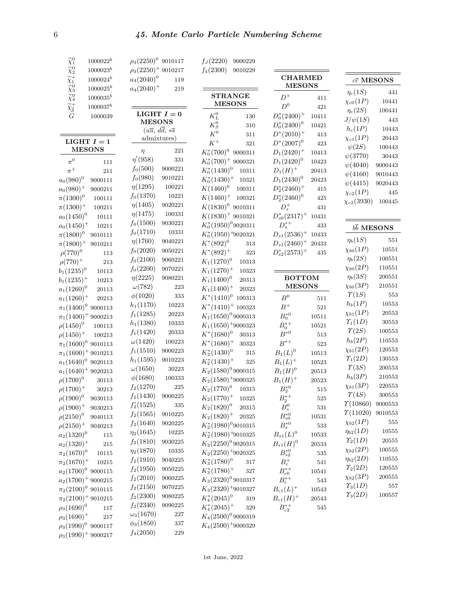| $\widetilde{\chi}_1^0$                                                                                                                         | $1000022^b$   | $\rho_3(2250)^0$ 9010117 |                                                 | $f_J(2220)$            | 9000229              |                              |                      |                               |                       |
|------------------------------------------------------------------------------------------------------------------------------------------------|---------------|--------------------------|-------------------------------------------------|------------------------|----------------------|------------------------------|----------------------|-------------------------------|-----------------------|
|                                                                                                                                                | $1000023^b$   | $\rho_3(2250)^+$ 9010217 |                                                 | $f_4(2300)$            | 9010229              |                              |                      |                               |                       |
| $\widetilde{\chi}^0_2$ $\widetilde{\chi}^+_1$ $\widetilde{\chi}^0_3$ $\widetilde{\chi}^0_4$ $\widetilde{\chi}^+_2$ $\widetilde{\widetilde{G}}$ | $1000024^b$   | $a_4(2040)^0$            | 119                                             |                        |                      | <b>CHARMED</b>               |                      | $c\overline{c}$ MESONS        |                       |
|                                                                                                                                                | $1000025^b$   | $a_4(2040)^+$            | $219\,$                                         |                        |                      | <b>MESONS</b>                |                      | $\eta_c(1S)$                  | 441                   |
|                                                                                                                                                | $1000035^{b}$ |                          |                                                 | <b>STRANGE</b>         |                      | $D^+$                        | 411                  | $\chi_{c0}(1P)$               | 10441                 |
|                                                                                                                                                | $1000037^b$   |                          |                                                 | <b>MESONS</b>          |                      | $D^0$                        | 421                  | $\eta_c(2S)$                  | 100441                |
|                                                                                                                                                | 1000039       |                          | LIGHT $I=0$                                     | $K_L^0$                | 130                  | $D_0^*(2400)^+$              | 10411                | $J/\psi(1S)$                  | 443                   |
|                                                                                                                                                |               | <b>MESONS</b>            |                                                 | $K^0_{\mathcal S}$     | $310\,$              | $D_0^*(2400)^0$              | 10421                |                               | 10443                 |
|                                                                                                                                                |               |                          | $(u\overline{u}, d\overline{d}, s\overline{s})$ | $K^0$                  | 311                  | $D^*(2010)^+$                | $413\,$              | $h_c(1P)$                     | $\,20443\,$           |
| LIGHT $I=1$                                                                                                                                    |               | admixtures)              |                                                 | $K^+$                  | 321                  | $D^*(2007)^0$                | $423\,$              | $\chi_{c1}(1P)$<br>$\psi(2S)$ |                       |
| <b>MESONS</b>                                                                                                                                  |               | $\eta$                   | $221\,$                                         | $K_0^*(700)^0$         | 9000311              | $D_1(2420)^+$                | $10413\,$            | $\psi(3770)$                  | 100443                |
| $\pi^0$                                                                                                                                        | $111\,$       | $\eta'(958)$             | $331\,$                                         | $K_0^*(700)^+$ 9000321 |                      | $D_1(2420)^0$                | $10423\,$            |                               | 30443                 |
| $\pi^+$                                                                                                                                        | $211\,$       | $f_0(500)$               | 9000221                                         | $K_0^*(1430)^0$        | 10311                | $D_1(H)^+$                   | $\,20413\,$          | $\psi(4040)$                  | 9000443               |
| $a_0(980)^0$                                                                                                                                   | 9000111       | $f_0(980)$               | 9010221                                         | $K_0^*(1430)^+$        | 10321                | $D_1(2430)^0$                | $\boldsymbol{20423}$ | $\psi(4160)$                  | 9010443               |
| $a_0(980)^+$                                                                                                                                   | 9000211       | $\eta(1295)$             | 100221                                          | $K(1460)^{0}$          | 100311               | $D_2^*(2460)^+$              | $415\,$              | $\psi(4415)$                  | 9020443               |
| $\pi(1300)^{0}$                                                                                                                                | $100111\,$    | $f_0(1370)$              | 10221                                           | $K(1460)^+$            | 100321               | $D_2^*(2460)^0$              | 425                  | $\chi_{c2}(1P)$               | 445                   |
| $\pi(1300)^{+}$                                                                                                                                | $100211\,$    | $\eta(1405)$             | 9020221                                         | $K(1830)^0$ 9010311    |                      | $D_s^+$                      | $431\,$              | $\chi_{c2}(3930)$             | 100445                |
| $a_0(1450)^0$                                                                                                                                  | $10111\,$     | $\eta(1475)$             | 100331                                          | $K(1830)^+$ 9010321    |                      | $D_{s0}^*(2317)^+$           | 10431                |                               |                       |
| $a_0(1450)^+$                                                                                                                                  | $10211\,$     | $f_0(1500)$              | 9030221                                         | $K_0^*(1950)^09020311$ |                      | $D_s^{*+}$                   | 433                  |                               |                       |
| $\pi(1800)^{0}$                                                                                                                                | 9010111       | $f_0(1710)$              | 10331                                           | $K_0^*(1950)^+9020321$ |                      | $D_{s1}(2536)^+$             | 10433                | $b\overline{b}$ MESONS        |                       |
| $\pi(1800)^{+}$                                                                                                                                | 9010211       | $\eta(1760)$             | 9040221                                         | $K^*(892)^0$           | $313\,$              | $D_{s1}(2460)^+$             | 20433                | $\eta_b(1S)$                  | $551\,$               |
| $\rho(770)^{0}$                                                                                                                                | $113\,$       | $f_0(2020)$              | 9050221                                         | $K^*(892)^+$           | $323\,$              | $D_{s2}^*(2573)^+$           | 435                  | $\chi_{b0}(1P)$               | 10551                 |
| $\rho(770)^{+}$                                                                                                                                | $213\,$       | $f_0(2100)$              | 9060221                                         | $K_1(1270)^0$          | 10313                |                              |                      | $\eta_b(2S)$                  | 100551                |
| $b_1(1235)^0$                                                                                                                                  | 10113         | $f_0(2200)$              | 9070221                                         | $K_1(1270)^+$          | 10323                |                              |                      | $\chi_{b0}(2P)$               | 110551                |
|                                                                                                                                                |               | $\eta(2225)$             | 9080221                                         | $K_1(1400)^0$          | 20313                | <b>BOTTOM</b>                |                      | $\eta_b(3S)$                  | 200551                |
| $b_1(1235)^+$                                                                                                                                  | $10213\,$     | $\omega(782)$            | $223\,$                                         | $K_1(1400)^+$          | 20323                | <b>MESONS</b>                |                      | $\chi_{b0}(3P)$               | 210551                |
| $a_1(1260)^0$                                                                                                                                  | $\,20113\,$   | $\phi(1020)$             | $333\,$                                         | $K^*(1410)^0$ 100313   |                      | $B^0$                        |                      | $\Upsilon(1S)$                | $553\,$               |
| $a_1(1260)^+$                                                                                                                                  | $\,20213$     | $h_1(1170)$              | $10223\,$                                       | $K^*(1410)^+$ 100323   |                      | $\ensuremath{B^{+}}$         | $511\,$              | $h_b(1P)$                     | $10553\,$             |
| $\pi_1(1400)^0$ 9000113                                                                                                                        |               | $f_1(1285)$              | $\boldsymbol{20223}$                            | $K_1(1650)^0$ 9000313  |                      |                              | $521\,$              | $\chi_{b1}(1P)$               | $\,20553$             |
| $\pi_1(1400)^+$ 9000213                                                                                                                        |               | $h_1(1380)$              | $10333\,$                                       |                        |                      | $B_0^{*0}$                   | 10511                | $\Upsilon_1(1D)$              | $30553\,$             |
| $\rho(1450)^{0}$                                                                                                                               | $100113\,$    | $f_1(1420)$              | 20333                                           | $K_1(1650)^+9000323$   |                      | $B_0^{\ast+}$                | 10521                | $\Upsilon(2S)$                | 100553                |
| $\rho(1450)^{+}$                                                                                                                               | 100213        | $\omega(1420)$           | 100223                                          | $K^*(1680)^0$          | $30313\,$            | $B^{\ast 0}$<br>$B^{\ast +}$ | $513\,$              | $h_b(2P)$                     | 110553                |
| $\pi_1(1600)^0$ 9010113                                                                                                                        |               | $f_1(1510)$              | 9000223                                         | $K^*(1680)^+$          | $30323\,$            |                              | $523\,$              | $\chi_{b1}(2P)$               | 120553                |
| $\pi_1(1600)^+$ 9010213                                                                                                                        |               | $h_1(1595)$              | 9010223                                         | $K_2^*(1430)^0$        | $315\,$              | $B_1(L)^0$                   | $10513\,$            | $\Upsilon_1(2D)$              | 130553                |
| $a_1(1640)^0$ 9020113                                                                                                                          |               | $\omega(1650)$           | $30223\,$                                       | $K_2^*(1430)^+$        | $325\,$              | $B_1(L)^+$                   | $10523\,$            | $\Upsilon(3S)$                | $\boldsymbol{200553}$ |
| $a_1(1640)^+$ 9020213                                                                                                                          |               | $\phi(1680)$             | 100333                                          | $K_2(1580)^0$ 9000315  |                      | $B_1(H)^0$                   | $\,20513$            | $h_b(3P)$                     | $\boldsymbol{210553}$ |
| $\rho(1700)^{0}$                                                                                                                               | 30113         | $f_2(1270)$              | $225\,$                                         | $K_2(1580)^+$ 9000325  |                      | $B_1(H)^+$                   | $\,20523$            | $\chi_{b1}(3P)$               | $220553\,$            |
| $\rho(1700)^{+}$                                                                                                                               | $30213\,$     | $f_2(1430)$              |                                                 | $K_2(1770)^0$          | 10315                | $B_2^{\ast 0}$               | 515                  | $\Upsilon(4S)$                | 300553                |
| $\rho(1900)^{0}$                                                                                                                               | 9030113       |                          | 9000225                                         | $K_2(1770)^+$          | 10325                | $B_2^{*+}$                   | 525                  | $\Upsilon(10860)$             | $\color{red}9000553$  |
| $\rho(1900)^+$                                                                                                                                 | 9030213       | $f'_{2}(1525)$           | $335\,$                                         | $K_2(1820)^0$          | $\,20315\,$          | $\mathcal{B}_s^0$            | $531\,$              | $\Upsilon(11020)$             | 9010553               |
| $\rho(2150)^{0}$                                                                                                                               | 9040113       | $f_2(1565)$              | 9010225                                         | $K_2(1820)^+$          | $\boldsymbol{20325}$ | $B_{s0}^{*0}$                | $10531\,$            | $\chi_{b2}(1P)$               | $555\,$               |
| $\rho(2150)^{+}$                                                                                                                               | 9040213       | $f_2(1640)$              | 9020225                                         | $K_2^*(1980)^09010315$ |                      | $B_s^{*0}$                   | $533\,$              | $\eta_{b2}(1D)$               | $10555\,$             |
| $a_2(1320)^0$                                                                                                                                  | 115           | $\eta_2(1645)$           | $10225\,$                                       | $K_2^*(1980)^+9010325$ |                      | $B_{s1}(L)^{0}$              | 10533                | $\varUpsilon_2(1D)$           | $\,20555$             |
| $a_2(1320)^+$                                                                                                                                  | $215\,$       | $f_2(1810)$              | 9030225                                         | $K_2(2250)^0$ 9020315  |                      | $B_{s1}(H)^0$                | $\,20533$            |                               |                       |
| $\pi_2(1670)^0$                                                                                                                                | $10115\,$     | $\eta_2(1870)$           | 10335                                           | $K_2(2250)^+$ 9020325  |                      | $B_{s2}^{*0}$                | $535\,$              | $\chi_{b2}(2P)$               | $100555\,$            |
| $\pi_2(1670)^+$                                                                                                                                | $10215\,$     | $f_2(1910)$              | 9040225                                         | $K_3^*(1780)^0$        | $317\,$              | $B_c^+$                      | $541\,$              | $\eta_{b2}(2D)$               | $110555\,$            |
| $a_2(1700)^0$ 9000115                                                                                                                          |               | $f_2(1950)$              | 9050225                                         | $K_3^*(1780)^+$        | 327                  | $B_{c0}^{\ast +}$            | 10541                | $\varUpsilon_2(2D)$           | 120555                |
| $a_2(1700)^+$ 9000215                                                                                                                          |               | $f_2(2010)$              | 9060225                                         | $K_3(2320)^0$ 9010317  |                      | $B_c^{*+}$                   | $543\,$              | $\chi_{b2}(3P)$               | $\hphantom{0}200555$  |
| $\pi_2(2100)^0$ 9010115                                                                                                                        |               | $f_2(2150)$              | 9070225                                         | $K_3(2320)^+9010327$   |                      | $B_{c1}(L)^+$                | $10543\,$            | $\Upsilon_3(1D)$              | $557\,$               |
| $\pi_2(2100)^+$ 9010215                                                                                                                        |               | $f_2(2300)$              | 9080225                                         | $K_4^*(2045)^0$        | 319                  | $B_{c1}(H)^+$                | $\,20543$            | $\Upsilon_3(2D)$              | 100557                |
| $\rho_3(1690)^0$                                                                                                                               | 117           | $f_2(2340)$              | 9090225                                         | $K_4^*(2045)^+$        | $329\,$              | $B_{c2}^{*+}$                | $545\,$              |                               |                       |
| $\rho_3(1690)^+$                                                                                                                               | 217           | $\omega_3(1670)$         | $227\,$                                         | $K_4(2500)^0$ 9000319  |                      |                              |                      |                               |                       |
| $\rho_3(1990)^0$ 9000117                                                                                                                       |               | $\phi_3(1850)$           | $337\,$                                         | $K_4(2500)^+9000329$   |                      |                              |                      |                               |                       |
| $\rho_3(1990)^+$ 9000217                                                                                                                       |               | $f_4(2050)$              | $229\,$                                         |                        |                      |                              |                      |                               |                       |